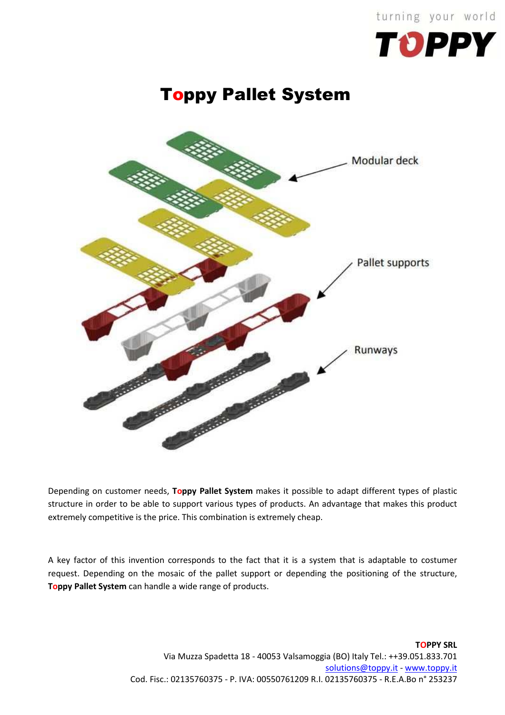

## Toppy Pallet System



Depending on customer needs, **Toppy Pallet System** makes it possible to adapt different types of plastic structure in order to be able to support various types of products. An advantage that makes this product extremely competitive is the price. This combination is extremely cheap.

A key factor of this invention corresponds to the fact that it is a system that is adaptable to costumer request. Depending on the mosaic of the pallet support or depending the positioning of the structure, **Toppy Pallet System** can handle a wide range of products.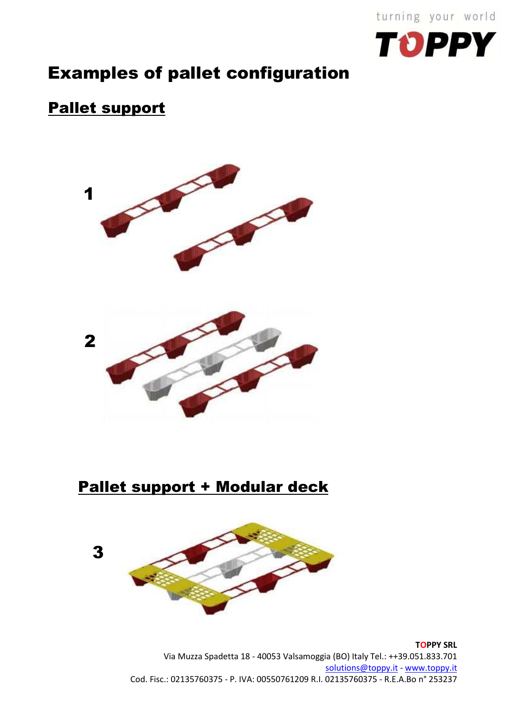



## Examples of pallet configuration

## Pallet support



Pallet support + Modular deck



**TOPPY SRL**  Via Muzza Spadetta 18 - 40053 Valsamoggia (BO) Italy Tel.: ++39.051.833.701 solutions@toppy.it - www.toppy.it Cod. Fisc.: 02135760375 - P. IVA: 00550761209 R.I. 02135760375 - R.E.A.Bo n° 253237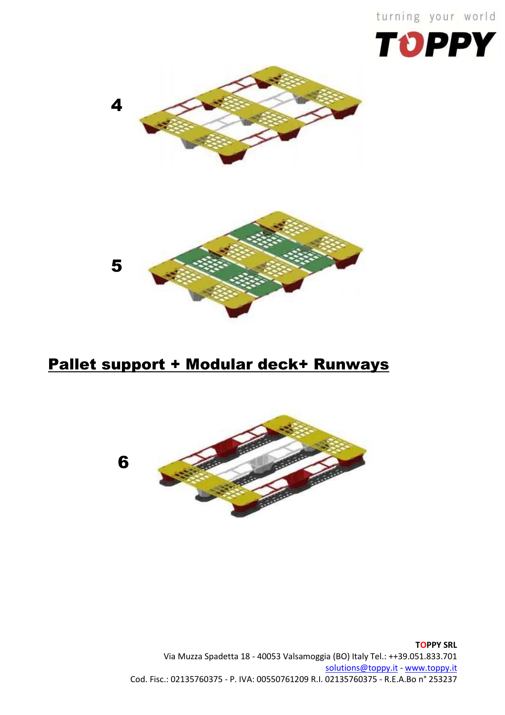turning your world







## Pallet support + Modular deck+ Runways